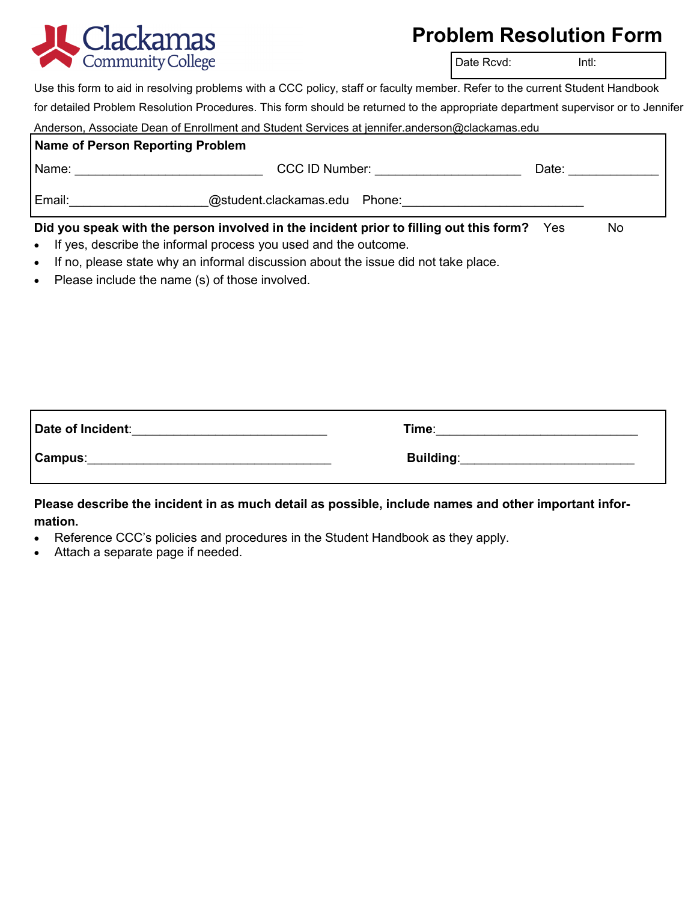

## **Problem Resolution Form**

Date Rcvd: Intl:

Use this form to aid in resolving problems with a CCC policy, staff or faculty member. Refer to the current Student Handbook

for detailed Problem Resolution Procedures. This form should be returned to the appropriate department supervisor or to Jennifer Anderson, Associate Dean of Enrollment and Student Services at jennifer.anderson@clackamas.edu

|                                                                                                   | Anderson, Associate Dean of Enforment and Student Services at Jennifer.anderson@clackanas.edu |       |  |
|---------------------------------------------------------------------------------------------------|-----------------------------------------------------------------------------------------------|-------|--|
| Name of Person Reporting Problem                                                                  |                                                                                               |       |  |
| Name: <u>______________________</u>                                                               | CCC ID Number: The CCC ID Number:                                                             | Date: |  |
| @student.clackamas.edu Phone:<br>Email:                                                           |                                                                                               |       |  |
| Did you speak with the person involved in the incident prior to filling out this form? Yes<br>No. |                                                                                               |       |  |

- If yes, describe the informal process you used and the outcome.
- If no, please state why an informal discussion about the issue did not take place.
- Please include the name (s) of those involved.

| Date of Incident: | Time:            |
|-------------------|------------------|
| Campus:           | <b>Building:</b> |

## **Please describe the incident in as much detail as possible, include names and other important information.**

- Reference CCC's policies and procedures in the Student Handbook as they apply.
- Attach a separate page if needed.